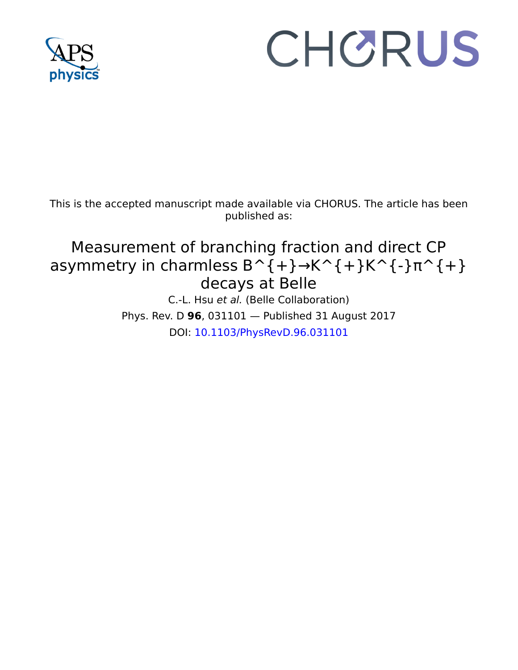

## CHORUS

This is the accepted manuscript made available via CHORUS. The article has been published as:

## Measurement of branching fraction and direct CP asymmetry in charmless  $B^{(+)} \rightarrow K^{(+)}K^{(+)}$ K^{-} $\pi^{(+)}$ decays at Belle

C.-L. Hsu et al. (Belle Collaboration) Phys. Rev. D **96**, 031101 — Published 31 August 2017 DOI: [10.1103/PhysRevD.96.031101](http://dx.doi.org/10.1103/PhysRevD.96.031101)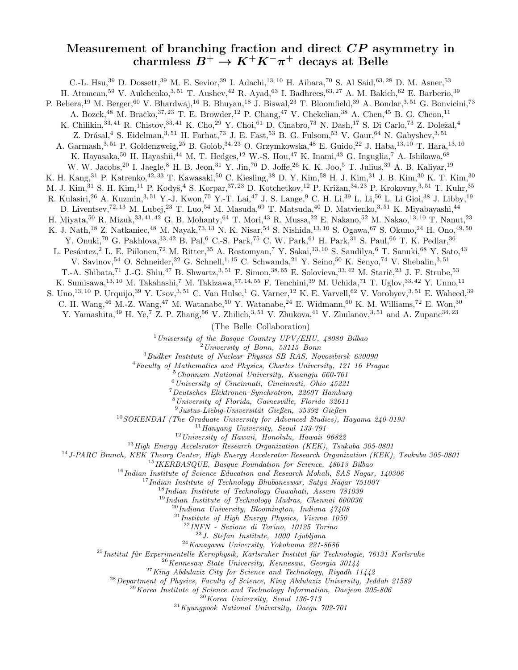## Measurement of branching fraction and direct CP asymmetry in charmless  $B^+ \to K^+ K^- \pi^+$  decays at Belle

C.-L. Hsu,<sup>39</sup> D. Dossett,<sup>39</sup> M. E. Sevior,<sup>39</sup> I. Adachi,<sup>13, 10</sup> H. Aihara,<sup>70</sup> S. Al Said,<sup>63, 28</sup> D. M. Asner,<sup>53</sup> H. Atmacan,<sup>59</sup> V. Aulchenko,<sup>3, 51</sup> T. Aushev,<sup>42</sup> R. Ayad,<sup>63</sup> I. Badhrees,<sup>63, 27</sup> A. M. Bakich,<sup>62</sup> E. Barberio,<sup>39</sup> P. Behera,<sup>19</sup> M. Berger,<sup>60</sup> V. Bhardwaj,<sup>16</sup> B. Bhuyan,<sup>18</sup> J. Biswal,<sup>23</sup> T. Bloomfield,<sup>39</sup> A. Bondar,<sup>3,51</sup> G. Bonvicini,<sup>73</sup> A. Bozek,<sup>48</sup> M. Bračko,<sup>37,23</sup> T. E. Browder,<sup>12</sup> P. Chang,<sup>47</sup> V. Chekelian,<sup>38</sup> A. Chen,<sup>45</sup> B. G. Cheon,<sup>11</sup> K. Chilikin,  $33, 41$  R. Chistov,  $33, 41$  K. Cho,  $29$  Y. Choi,  $61$  D. Cinabro,  $73$  N. Dash,  $17$  S. Di Carlo,  $73$  Z. Doležal,  $4$ Z. Drásal,<sup>4</sup> S. Eidelman,<sup>3, 51</sup> H. Farhat,<sup>73</sup> J. E. Fast,<sup>53</sup> B. G. Fulsom,<sup>53</sup> V. Gaur,<sup>64</sup> N. Gabyshev,<sup>3, 51</sup> A. Garmash,<sup>3, 51</sup> P. Goldenzweig,<sup>25</sup> B. Golob,<sup>34, 23</sup> O. Grzymkowska,<sup>48</sup> E. Guido,<sup>22</sup> J. Haba,<sup>13, 10</sup> T. Hara,<sup>13, 10</sup> K. Hayasaka,<sup>50</sup> H. Hayashii,<sup>44</sup> M. T. Hedges,<sup>12</sup> W.-S. Hou,<sup>47</sup> K. Inami,<sup>43</sup> G. Inguglia,<sup>7</sup> A. Ishikawa,<sup>68</sup> W. W. Jacobs, <sup>20</sup> I. Jaegle, <sup>8</sup> H. B. Jeon, <sup>31</sup> Y. Jin, <sup>70</sup> D. Joffe, <sup>26</sup> K. K. Joo, <sup>5</sup> T. Julius, <sup>39</sup> A. B. Kaliyar, <sup>19</sup> K. H. Kang, <sup>31</sup> P. Katrenko, <sup>42, 33</sup> T. Kawasaki, <sup>50</sup> C. Kiesling, <sup>38</sup> D. Y. Kim, <sup>58</sup> H. J. Kim, <sup>31</sup> J. B. Kim, <sup>30</sup> K. T. Kim, <sup>30</sup> M. J. Kim,<sup>31</sup> S. H. Kim,<sup>11</sup> P. Kodyš,<sup>4</sup> S. Korpar,<sup>37, 23</sup> D. Kotchetkov,<sup>12</sup> P. Križan,<sup>34, 23</sup> P. Krokovny,<sup>3, 51</sup> T. Kuhr,<sup>35</sup> R. Kulasiri,<sup>26</sup> A. Kuzmin,<sup>3,51</sup> Y.-J. Kwon,<sup>75</sup> Y.-T. Lai,<sup>47</sup> J. S. Lange,<sup>9</sup> C. H. Li,<sup>39</sup> L. Li,<sup>56</sup> L. Li Gioi,<sup>38</sup> J. Libby,<sup>19</sup> D. Liventsev,<sup>72, 13</sup> M. Lubej,<sup>23</sup> T. Luo,<sup>54</sup> M. Masuda,<sup>69</sup> T. Matsuda,<sup>40</sup> D. Matvienko,<sup>3, 51</sup> K. Miyabayashi,<sup>44</sup> H. Miyata,<sup>50</sup> R. Mizuk,<sup>33, 41, 42</sup> G. B. Mohanty,<sup>64</sup> T. Mori,<sup>43</sup> R. Mussa,<sup>22</sup> E. Nakano,<sup>52</sup> M. Nakao,<sup>13, 10</sup> T. Nanut,<sup>23</sup> K. J. Nath,<sup>18</sup> Z. Natkaniec,<sup>48</sup> M. Nayak,<sup>73, 13</sup> N. K. Nisar,<sup>54</sup> S. Nishida,<sup>13, 10</sup> S. Ogawa,<sup>67</sup> S. Okuno,<sup>24</sup> H. Ono,<sup>49,50</sup> Y. Onuki,<sup>70</sup> G. Pakhlova,<sup>33,42</sup> B. Pal,<sup>6</sup> C.-S. Park,<sup>75</sup> C. W. Park,<sup>61</sup> H. Park,<sup>31</sup> S. Paul,<sup>66</sup> T. K. Pedlar,<sup>36</sup> L. Pesántez,<sup>2</sup> L. E. Piilonen,<sup>72</sup> M. Ritter,<sup>35</sup> A. Rostomyan,<sup>7</sup> Y. Sakai,<sup>13,10</sup> S. Sandilya,<sup>6</sup> T. Sanuki,<sup>68</sup> Y. Sato,<sup>43</sup> V. Savinov, <sup>54</sup> O. Schneider, <sup>32</sup> G. Schnell, <sup>1, 15</sup> C. Schwanda, <sup>21</sup> Y. Seino, <sup>50</sup> K. Senyo, <sup>74</sup> V. Shebalin, <sup>3, 51</sup> T.-A. Shibata,<sup>71</sup> J.-G. Shiu,<sup>47</sup> B. Shwartz,<sup>3,51</sup> F. Simon,<sup>38,65</sup> E. Solovieva,<sup>33,42</sup> M. Starič,<sup>23</sup> J. F. Strube,<sup>53</sup> K. Sumisawa,<sup>13, 10</sup> M. Takahashi,<sup>7</sup> M. Takizawa,<sup>57, 14, 55</sup> F. Tenchini,<sup>39</sup> M. Uchida,<sup>71</sup> T. Uglov,<sup>33, 42</sup> Y. Unno,<sup>11</sup> S. Uno,<sup>13, 10</sup> P. Urquijo,<sup>39</sup> Y. Usov,<sup>3, 51</sup> C. Van Hulse,<sup>1</sup> G. Varner,<sup>12</sup> K. E. Varvell,<sup>62</sup> V. Vorobyev,<sup>3, 51</sup> E. Waheed,<sup>39</sup> C. H. Wang,<sup>46</sup> M.-Z. Wang,<sup>47</sup> M. Watanabe,<sup>50</sup> Y. Watanabe,<sup>24</sup> E. Widmann,<sup>60</sup> K. M. Williams,<sup>72</sup> E. Won,<sup>30</sup> Y. Yamashita,<sup>49</sup> H. Ye,<sup>7</sup> Z. P. Zhang,<sup>56</sup> V. Zhilich,<sup>3,51</sup> V. Zhukova,<sup>41</sup> V. Zhulanov,<sup>3,51</sup> and A. Zupanc<sup>34,23</sup> (The Belle Collaboration)  $1$ University of the Basque Country UPV/EHU, 48080 Bilbao  $^{2}$ University of Bonn, 53115 Bonn <sup>3</sup>Budker Institute of Nuclear Physics SB RAS, Novosibirsk 630090 <sup>4</sup>Faculty of Mathematics and Physics, Charles University, 121 16 Prague  $^{5}$  Chonnam National University, Kwangju 660-701 <sup>6</sup>University of Cincinnati, Cincinnati, Ohio 45221 <sup>7</sup>Deutsches Elektronen–Synchrotron, 22607 Hamburg <sup>8</sup>University of Florida, Gainesville, Florida 32611  $^9$ Justus-Liebig-Universität Gießen, 35392 Gießen <sup>10</sup>SOKENDAI (The Graduate University for Advanced Studies), Hayama 240-0193  $^{11}\!H\!anyang$  University, Seoul 133-791  $12$  University of Hawaii, Honolulu, Hawaii 96822 <sup>13</sup> High Energy Accelerator Research Organization (KEK), Tsukuba 305-0801 <sup>14</sup>J-PARC Branch, KEK Theory Center, High Energy Accelerator Research Organization (KEK), Tsukuba 305-0801 <sup>15</sup>IKERBASQUE, Basque Foundation for Science, 48013 Bilbao  $16$ Indian Institute of Science Education and Research Mohali, SAS Nagar, 140306 <sup>17</sup>Indian Institute of Technology Bhubaneswar, Satya Nagar 751007 <sup>18</sup>Indian Institute of Technology Guwahati, Assam 781039  $19$ Indian Institute of Technology Madras, Chennai 600036  $^{20}$ Indiana University, Bloomington, Indiana  $47408$  $^{21}$ Institute of High Energy Physics, Vienna 1050 <sup>22</sup>INFN - Sezione di Torino, 10125 Torino <sup>23</sup>J. Stefan Institute, 1000 Ljubljana <sup>24</sup>Kanagawa University, Yokohama 221-8686

 $^{25}$ Institut für Experimentelle Kernphysik, Karlsruher Institut für Technologie, 76131 Karlsruhe

 $26$ Kennesaw State University, Kennesaw, Georgia 30144

 $^{27}$ King Abdulaziz City for Science and Technology, Riyadh 11442

 $^{28}$ Department of Physics, Faculty of Science, King Abdulaziz University, Jeddah 21589

 $^{29}$ Korea Institute of Science and Technology Information, Daejeon 305-806

 $30$ Korea University, Seoul 136-713

 $31$ Kyungpook National University, Daegu  $702-701$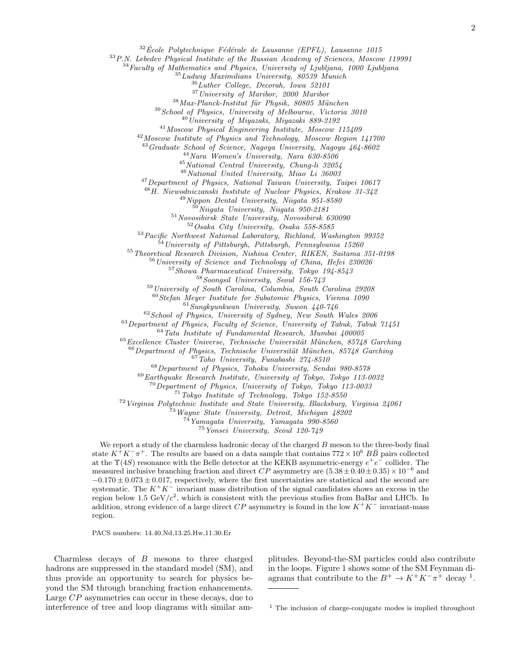$32\text{École Polytechnique Fédérale de Lausanne (EPFL), Lausanne 1015}$ 

P.N. Lebedev Physical Institute of the Russian Academy of Sciences, Moscow 119991

Faculty of Mathematics and Physics, University of Ljubljana, 1000 Ljubljana

 $^{35}$ Ludwig Maximilians University, 80539 Munich

Luther College, Decorah, Iowa 52101

University of Maribor, 2000 Maribor

Max-Planck-Institut für Physik, 80805 München

School of Physics, University of Melbourne, Victoria 3010

 $^{40}$ University of Miyazaki, Miyazaki 889-2192

Moscow Physical Engineering Institute, Moscow 115409

Moscow Institute of Physics and Technology, Moscow Region 141700

Graduate School of Science, Nagoya University, Nagoya 464-8602

Nara Women's University, Nara 630-8506

National Central University, Chung-li 32054

National United University, Miao Li 36003

Department of Physics, National Taiwan University, Taipei 10617

H. Niewodniczanski Institute of Nuclear Physics, Krakow 31-342

Nippon Dental University, Niigata 951-8580 Niigata University, Niigata 950-2181

Novosibirsk State University, Novosibirsk 630090

Osaka City University, Osaka 558-8585

Pacific Northwest National Laboratory, Richland, Washington 99352

 $^{54}$ University of Pittsburgh, Pittsburgh, Pennsylvania 15260

Theoretical Research Division, Nishina Center, RIKEN, Saitama 351-0198

University of Science and Technology of China, Hefei 230026

Showa Pharmaceutical University, Tokyo 194-8543

Soongsil University, Seoul 156-743

University of South Carolina, Columbia, South Carolina 29208

Stefan Meyer Institute for Subatomic Physics, Vienna 1090

Sungkyunkwan University, Suwon 440-746

School of Physics, University of Sydney, New South Wales  $2006$ 

Department of Physics, Faculty of Science, University of Tabuk, Tabuk 71451

Tata Institute of Fundamental Research, Mumbai 400005

Excellence Cluster Universe, Technische Universität München, 85748 Garching

Department of Physics, Technische Universität München, 85748 Garching

Toho University, Funabashi 274-8510

Department of Physics, Tohoku University, Sendai 980-8578

Earthquake Research Institute, University of Tokyo, Tokyo 113-0032

Department of Physics, University of Tokyo, Tokyo 113-0033

Tokyo Institute of Technology, Tokyo 152-8550

Virginia Polytechnic Institute and State University, Blacksburg, Virginia 24061

Wayne State University, Detroit, Michigan 48202

Yamagata University, Yamagata 990-8560

Yonsei University, Seoul 120-749

We report a study of the charmless hadronic decay of the charged  $B$  meson to the three-body final state  $K^{\hat{+}}K^{-}\pi^{\hat{+}}$ . The results are based on a data sample that contains  $772 \times 10^6$   $B\bar{B}$  pairs collected at the  $\Upsilon(4S)$  resonance with the Belle detector at the KEKB asymmetric-energy  $e^+e^-$  collider. The measured inclusive branching fraction and direct CP asymmetry are  $(5.38 \pm 0.40 \pm 0.35) \times 10^{-6}$  and  $-0.170 \pm 0.073 \pm 0.017$ , respectively, where the first uncertainties are statistical and the second are systematic. The  $K^+K^-$  invariant mass distribution of the signal candidates shows an excess in the region below 1.5  $GeV/c^2$ , which is consistent with the previous studies from BaBar and LHCb. In addition, strong evidence of a large direct  $CP$  asymmetry is found in the low  $K^+K^-$  invariant-mass region.

PACS numbers: 14.40.Nd,13.25.Hw,11.30.Er

Charmless decays of B mesons to three charged hadrons are suppressed in the standard model (SM), and thus provide an opportunity to search for physics beyond the SM through branching fraction enhancements. Large CP asymmetries can occur in these decays, due to interference of tree and loop diagrams with similar amplitudes. Beyond-the-SM particles could also contribute in the loops. Figure [1](#page-3-0) shows some of the SM Feynman diagrams that contribute to the  $B^+ \to K^+K^-\pi^+$  decay <sup>[1](#page-2-0)</sup>.

<span id="page-2-0"></span><sup>&</sup>lt;sup>1</sup> The inclusion of charge-conjugate modes is implied throughout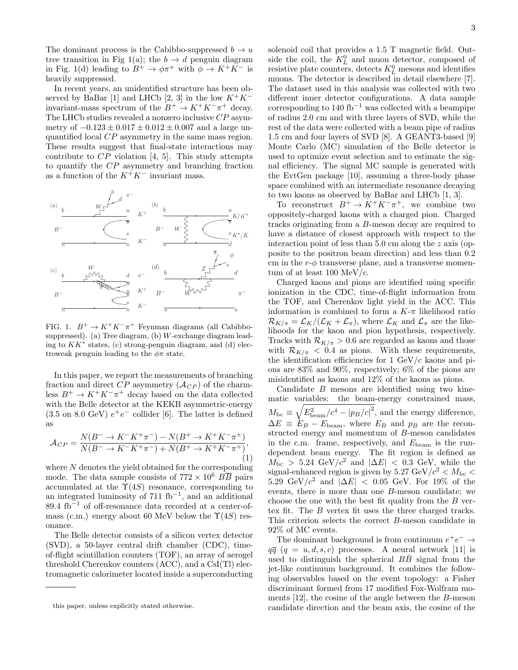The dominant process is the Cabibbo-suppressed  $b \to u$ tree transition in Fig [1\(](#page-3-0)a); the  $b \to d$  penguin diagram in Fig. [1\(](#page-3-0)d) leading to  $B^+ \to \phi \pi^+$  with  $\phi \to K^+ K^-$  is heavily suppressed.

In recent years, an unidentified structure has been ob-served by BaBar [\[1\]](#page-7-0) and LHCb [\[2,](#page-7-1) [3\]](#page-7-2) in the low  $K^+K^$ invariant-mass spectrum of the  $B^+ \to K^+K^-\pi^+$  decay. The LHCb studies revealed a nonzero inclusive CP asymmetry of  $-0.123 \pm 0.017 \pm 0.012 \pm 0.007$  and a large unquantified local CP asymmetry in the same mass region. These results suggest that final-state interactions may contribute to  $CP$  violation [\[4,](#page-7-3) [5\]](#page-7-4). This study attempts to quantify the CP asymmetry and branching fraction as a function of the  $K^+K^-$  invariant mass.



<span id="page-3-0"></span>FIG. 1.  $B^+ \to K^+ K^- \pi^+$  Feynman diagrams (all Cabibbosuppressed). (a) Tree diagram, (b)  $W$ -exchange diagram leading to  $KK^*$  states, (c) strong-penguin diagram, and (d) electroweak penguin leading to the  $\phi\pi$  state.

In this paper, we report the measurements of branching fraction and direct  $CP$  asymmetry  $(\mathcal{A}_{CP})$  of the charmless  $B^+ \to K^+K^-\pi^+$  decay based on the data collected with the Belle detector at the KEKB asymmetric-energy  $(3.5 \text{ on } 8.0 \text{ GeV}) e^+e^-$  collider [\[6\]](#page-7-5). The latter is defined as

<span id="page-3-1"></span>
$$
\mathcal{A}_{CP} = \frac{N(B^{-} \to K^{-} K^{+} \pi^{-}) - N(B^{+} \to K^{+} K^{-} \pi^{+})}{N(B^{-} \to K^{-} K^{+} \pi^{-}) + N(B^{+} \to K^{+} K^{-} \pi^{+})},
$$
\n(1)

where N denotes the yield obtained for the corresponding mode. The data sample consists of  $772 \times 10^6$   $B\overline{B}$  pairs accumulated at the  $\Upsilon(4S)$  resonance, corresponding to an integrated luminosity of  $711 \text{ fb}^{-1}$ , and an additional 89.4 fb<sup>-1</sup> of off-resonance data recorded at a center-ofmass (c.m.) energy about 60 MeV below the  $\Upsilon(4S)$  resonance.

The Belle detector consists of a silicon vertex detector (SVD), a 50-layer central drift chamber (CDC), timeof-flight scintillation counters (TOF), an array of aerogel threshold Cherenkov counters (ACC), and a CsI(Tl) electromagnetic calorimeter located inside a superconducting 3

solenoid coil that provides a 1.5 T magnetic field. Outside the coil, the  $K^0_L$  and muon detector, composed of resistive plate counters, detects  $K_L^0$  mesons and identifies muons. The detector is described in detail elsewhere [\[7\]](#page-7-6). The dataset used in this analysis was collected with two different inner detector configurations. A data sample corresponding to  $140$  fb<sup>-1</sup> was collected with a beampipe of radius 2.0 cm and with three layers of SVD, while the rest of the data were collected with a beam pipe of radius 1.5 cm and four layers of SVD [\[8\]](#page-7-7). A GEANT3-based [\[9\]](#page-7-8) Monte Carlo (MC) simulation of the Belle detector is used to optimize event selection and to estimate the signal efficiency. The signal MC sample is generated with the EvtGen package [\[10\]](#page-7-9), assuming a three-body phase space combined with an intermediate resonance decaying to two kaons as observed by BaBar and LHCb [\[1,](#page-7-0) [3\]](#page-7-2).

To reconstruct  $B^+ \to K^+ K^- \pi^+$ , we combine two oppositely-charged kaons with a charged pion. Charged tracks originating from a B-meson decay are required to have a distance of closest approach with respect to the interaction point of less than  $5.0 \text{ cm}$  along the z axis (opposite to the positron beam direction) and less than 0.2 cm in the  $r-\phi$  transverse plane, and a transverse momentum of at least  $100 \text{ MeV}/c$ .

Charged kaons and pions are identified using specific ionization in the CDC, time-of-flight information from the TOF, and Cherenkov light yield in the ACC. This information is combined to form a  $K-\pi$  likelihood ratio  $\mathcal{R}_{K/\pi} = \mathcal{L}_K/(\mathcal{L}_K + \mathcal{L}_\pi)$ , where  $\mathcal{L}_K$  and  $\mathcal{L}_\pi$  are the likelihoods for the kaon and pion hypothesis, respectively. Tracks with  $\mathcal{R}_{K/\pi} > 0.6$  are regarded as kaons and those with  $\mathcal{R}_{K/\pi}$  < 0.4 as pions. With these requirements, the identification efficiencies for 1  $GeV/c$  kaons and pions are 83% and 90%, respectively; 6% of the pions are misidentified as kaons and 12% of the kaons as pions.

Candidate B mesons are identified using two kinematic variables: the beam-energy constrained mass,  $M_{\rm bc} \equiv \sqrt{E_{\rm beam}^2/c^4 - |p_B/c|^2}$ , and the energy difference,  $\Delta E \equiv E_B - E_{\text{beam}}$ , where  $E_B$  and  $p_B$  are the reconstructed energy and momentum of B-meson candidates in the c.m. frame, respectively, and  $E_{\text{beam}}$  is the rundependent beam energy. The fit region is defined as  $M_{\text{bc}} > 5.24 \text{ GeV}/c^2$  and  $|\Delta E| < 0.3 \text{ GeV}$ , while the signal-enhanced region is given by 5.27 GeV/ $c^2 < M_{\text{bc}} <$ 5.29 GeV/ $c^2$  and  $|\Delta E|$  < 0.05 GeV. For 19% of the events, there is more than one B-meson candidate; we choose the one with the best fit quality from the  $B$  vertex fit. The B vertex fit uses the three charged tracks. This criterion selects the correct B-meson candidate in 92% of MC events.

The dominant background is from continuum  $e^+e^- \rightarrow$  $q\bar{q}$  (q = u, d, s, c) processes. A neural network [\[11\]](#page-7-10) is used to distinguish the spherical  $B\overline{B}$  signal from the jet-like continuum background. It combines the following observables based on the event topology: a Fisher discriminant formed from 17 modified Fox-Wolfram moments [\[12\]](#page-7-11), the cosine of the angle between the B-meson candidate direction and the beam axis, the cosine of the

this paper, unless explicitly stated otherwise.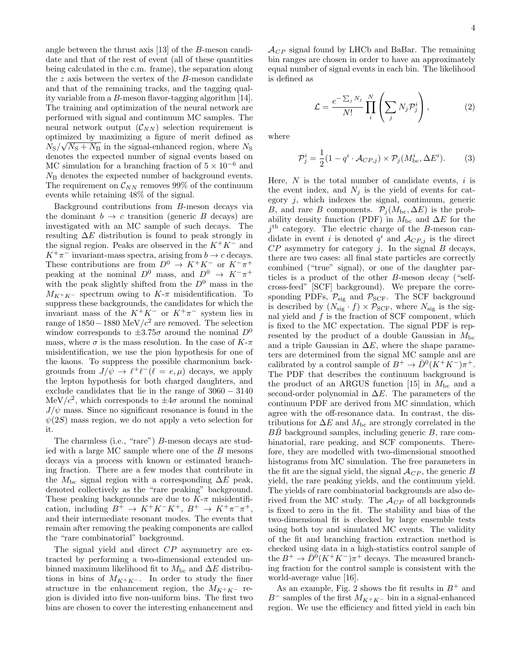angle between the thrust axis [\[13\]](#page-7-12) of the B-meson candidate and that of the rest of event (all of these quantities being calculated in the c.m. frame), the separation along the  $z$  axis between the vertex of the  $B$ -meson candidate and that of the remaining tracks, and the tagging quality variable from a B-meson flavor-tagging algorithm [\[14\]](#page-7-13). The training and optimization of the neural network are performed with signal and continuum MC samples. The neural network output  $(\mathcal{C}_{NN})$  selection requirement is optimized by maximizing a figure of merit defined as  $N_S/\sqrt{N_S+N_B}$  in the signal-enhanced region, where  $N_S$ denotes the expected number of signal events based on MC simulation for a branching fraction of  $5 \times 10^{-6}$  and  $N_{\rm B}$  denotes the expected number of background events. The requirement on  $\mathcal{C}_{NN}$  removes 99% of the continuum events while retaining 48% of the signal.

Background contributions from B-meson decays via the dominant  $b \to c$  transition (generic B decays) are investigated with an MC sample of such decays. The resulting  $\Delta E$  distribution is found to peak strongly in the signal region. Peaks are observed in the  $K^+K^-$  and  $K^+\pi^-$  invariant-mass spectra, arising from  $b \to c$  decays. These contributions are from  $D^0 \to K^+K^-$  or  $K^-\pi^+$ peaking at the nominal  $D^0$  mass, and  $D^0 \rightarrow K^-\pi^+$ with the peak slightly shifted from the  $D^0$  mass in the  $M_{K^+K^-}$  spectrum owing to  $K$ - $\pi$  misidentification. To suppress these backgrounds, the candidates for which the invariant mass of the  $K^+K^-$  or  $K^+\pi^-$  system lies in range of 1850 − 1880 MeV/ $c^2$  are removed. The selection window corresponds to  $\pm 3.75\sigma$  around the nominal  $D^0$ mass, where  $\sigma$  is the mass resolution. In the case of K- $\pi$ misidentification, we use the pion hypothesis for one of the kaons. To suppress the possible charmonium backgrounds from  $J/\psi \to \ell^+ \ell^- (\ell = e, \mu)$  decays, we apply the lepton hypothesis for both charged daughters, and exclude candidates that lie in the range of 3060 − 3140 MeV/ $c^2$ , which corresponds to  $\pm 4\sigma$  around the nominal  $J/\psi$  mass. Since no significant resonance is found in the  $\psi(2S)$  mass region, we do not apply a veto selection for it.

The charmless (i.e., "rare") B-meson decays are studied with a large MC sample where one of the B mesons decays via a process with known or estimated branching fraction. There are a few modes that contribute in the  $M_{bc}$  signal region with a corresponding  $\Delta E$  peak, denoted collectively as the "rare peaking" background. These peaking backgrounds are due to  $K-\pi$  misidentification, including  $B^+ \to K^+K^-K^+$ ,  $B^+ \to K^+\pi^-\pi^+$ , and their intermediate resonant modes. The events that remain after removing the peaking components are called the "rare combinatorial" background.

The signal yield and direct  $CP$  asymmetry are extracted by performing a two-dimensional extended unbinned maximum likelihood fit to  $M_{bc}$  and  $\Delta E$  distributions in bins of  $M_{K^+K^-}$ . In order to study the finer structure in the enhancement region, the  $M_{K^+K^-}$  region is divided into five non-uniform bins. The first two bins are chosen to cover the interesting enhancement and

 $\mathcal{A}_{CP}$  signal found by LHCb and BaBar. The remaining bin ranges are chosen in order to have an approximately equal number of signal events in each bin. The likelihood is defined as

$$
\mathcal{L} = \frac{e^{-\sum_j N_j}}{N!} \prod_i^N \left( \sum_j N_j \mathcal{P}_j^i \right),\tag{2}
$$

where

$$
\mathcal{P}_j^i = \frac{1}{2} (1 - q^i \cdot \mathcal{A}_{CP,j}) \times \mathcal{P}_j(M_{\text{bc}}^i, \Delta E^i).
$$
 (3)

Here,  $N$  is the total number of candidate events, i is the event index, and  $N_j$  is the yield of events for category  $j$ , which indexes the signal, continuum, generic  $B$ , and rare B components.  $\widetilde{\mathcal{P}}_j(M_{\text{bc}}, \Delta E)$  is the probability density function (PDF) in  $M_{bc}$  and  $\Delta E$  for the j th category. The electric charge of the B-meson candidate in event i is denoted  $q^i$  and  $\mathcal{A}_{CP,j}$  is the direct  $CP$  asymmetry for category j. In the signal  $B$  decays, there are two cases: all final state particles are correctly combined ("true" signal), or one of the daughter particles is a product of the other B-meson decay ("selfcross-feed" [SCF] background). We prepare the corresponding PDFs,  $\mathcal{P}_{sig}$  and  $\mathcal{P}_{SCF}$ . The SCF background is described by  $(N_{\text{sig}} \cdot f) \times \mathcal{P}_{\text{SCF}}$ , where  $N_{\text{sig}}$  is the signal yield and  $f$  is the fraction of SCF component, which is fixed to the MC expectation. The signal PDF is represented by the product of a double Gaussian in  $M_{\text{bc}}$ and a triple Gaussian in  $\Delta E$ , where the shape parameters are determined from the signal MC sample and are calibrated by a control sample of  $B^+ \to \bar{D}^0(K^+K^-)\pi^+$ . The PDF that describes the continuum background is the product of an ARGUS function [\[15\]](#page-7-14) in  $M_{\rm bc}$  and a second-order polynomial in  $\Delta E$ . The parameters of the continuum PDF are derived from MC simulation, which agree with the off-resonance data. In contrast, the distributions for  $\Delta E$  and  $M_{\text{bc}}$  are strongly correlated in the  $BB$  background samples, including generic  $B$ , rare combinatorial, rare peaking, and SCF components. Therefore, they are modelled with two-dimensional smoothed histograms from MC simulation. The free parameters in the fit are the signal yield, the signal  $\mathcal{A}_{CP}$ , the generic B yield, the rare peaking yields, and the continuum yield. The yields of rare combinatorial backgrounds are also derived from the MC study. The  $\mathcal{A}_{CP}$  of all backgrounds is fixed to zero in the fit. The stability and bias of the two-dimensional fit is checked by large ensemble tests using both toy and simulated MC events. The validity of the fit and branching fraction extraction method is checked using data in a high-statistics control sample of the  $B^+ \to \overline{D}{}^0(K^+K^-)\pi^+$  decays. The measured branching fraction for the control sample is consistent with the world-average value [\[16\]](#page-7-15).

As an example, Fig. [2](#page-5-0) shows the fit results in  $B^+$  and B<sup>-</sup> samples of the first  $M_{K^+K^-}$  bin in a signal-enhanced region. We use the efficiency and fitted yield in each bin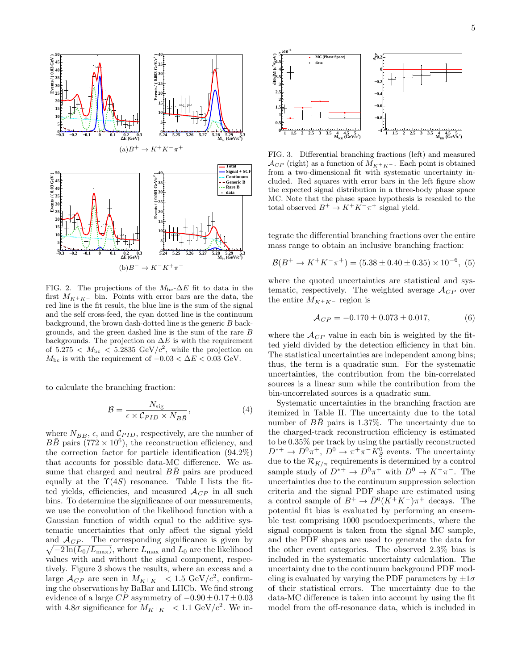

<span id="page-5-0"></span>FIG. 2. The projections of the  $M_{\text{bc}}$ - $\Delta E$  fit to data in the first  $M_{K^+K^-}$  bin. Points with error bars are the data, the red line is the fit result, the blue line is the sum of the signal and the self cross-feed, the cyan dotted line is the continuum background, the brown dash-dotted line is the generic B backgrounds, and the green dashed line is the sum of the rare B backgrounds. The projection on  $\Delta E$  is with the requirement of  $5.275 < M_{\text{bc}} < 5.2835 \text{ GeV}/c^2$ , while the projection on  $M_{\rm bc}$  is with the requirement of  $-0.03 < \Delta E < 0.03$  GeV.

to calculate the branching fraction:

$$
\mathcal{B} = \frac{N_{\text{sig}}}{\epsilon \times \mathcal{C}_{PID} \times N_{BB}},\tag{4}
$$

where  $N_{B\bar{B}}$ ,  $\epsilon$ , and  $\mathcal{C}_{PID}$ , respectively, are the number of  $B\overline{B}$  pairs (772 × 10<sup>6</sup>), the reconstruction efficiency, and the correction factor for particle identification (94.2%) that accounts for possible data-MC difference. We assume that charged and neutral  $B\bar{B}$  pairs are produced equally at the  $\Upsilon(4S)$  resonance. Table [I](#page-6-0) lists the fitted yields, efficiencies, and measured  $\mathcal{A}_{CP}$  in all such bins. To determine the significance of our measurements, we use the convolution of the likelihood function with a Gaussian function of width equal to the additive systematic uncertainties that only affect the signal yield and  $A_{CP}$ . The corresponding significance is given by  $\sqrt{-2\ln(L_0/L_{\text{max}})}$ , where  $L_{\text{max}}$  and  $L_0$  are the likelihood values with and without the signal component, respectively. Figure [3](#page-5-1) shows the results, where an excess and a large  $\mathcal{A}_{CP}$  are seen in  $M_{K^+K^-} < 1.5 \text{ GeV}/c^2$ , confirming the observations by BaBar and LHCb. We find strong evidence of a large  $CP$  asymmetry of  $-0.90 \pm 0.17 \pm 0.03$ with 4.8 $\sigma$  significance for  $M_{K^+K^-}$  < 1.1 GeV/ $c^2$ . We in-



<span id="page-5-1"></span>FIG. 3. Differential branching fractions (left) and measured  $\mathcal{A}_{CP}$  (right) as a function of  $M_{K^+K^-}$ . Each point is obtained from a two-dimensional fit with systematic uncertainty included. Red squares with error bars in the left figure show the expected signal distribution in a three-body phase space MC. Note that the phase space hypothesis is rescaled to the total observed  $B^+ \to K^+ K^- \pi^+$  signal yield.

tegrate the differential branching fractions over the entire mass range to obtain an inclusive branching fraction:

$$
\mathcal{B}(B^+ \to K^+ K^- \pi^+) = (5.38 \pm 0.40 \pm 0.35) \times 10^{-6}, (5)
$$

where the quoted uncertainties are statistical and systematic, respectively. The weighted average  $\mathcal{A}_{CP}$  over the entire  $M_{K^+K^-}$  region is

$$
\mathcal{A}_{CP} = -0.170 \pm 0.073 \pm 0.017, \tag{6}
$$

where the  $\mathcal{A}_{CP}$  value in each bin is weighted by the fitted yield divided by the detection efficiency in that bin. The statistical uncertainties are independent among bins; thus, the term is a quadratic sum. For the systematic uncertainties, the contribution from the bin-correlated sources is a linear sum while the contribution from the bin-uncorrelated sources is a quadratic sum.

Systematic uncertainties in the branching fraction are itemized in Table [II.](#page-6-1) The uncertainty due to the total number of  $B\bar{B}$  pairs is 1.37%. The uncertainty due to the charged-track reconstruction efficiency is estimated to be 0.35% per track by using the partially reconstructed  $D^{*+} \to D^0 \pi^+, D^0 \to \pi^+ \pi^- K^0_S$  events. The uncertainty due to the  $\mathcal{R}_{K/\pi}$  requirements is determined by a control sample study of  $D^{*+} \to D^0 \pi^+$  with  $D^0 \to K^+ \pi^-$ . The uncertainties due to the continuum suppression selection criteria and the signal PDF shape are estimated using a control sample of  $B^+ \to \bar{D}^0(K^+K^-)\pi^+$  decays. The potential fit bias is evaluated by performing an ensemble test comprising 1000 pseudoexperiments, where the signal component is taken from the signal MC sample, and the PDF shapes are used to generate the data for the other event categories. The observed 2.3% bias is included in the systematic uncertainty calculation. The uncertainty due to the continuum background PDF modeling is evaluated by varying the PDF parameters by  $\pm 1\sigma$ of their statistical errors. The uncertainty due to the data-MC difference is taken into account by using the fit model from the off-resonance data, which is included in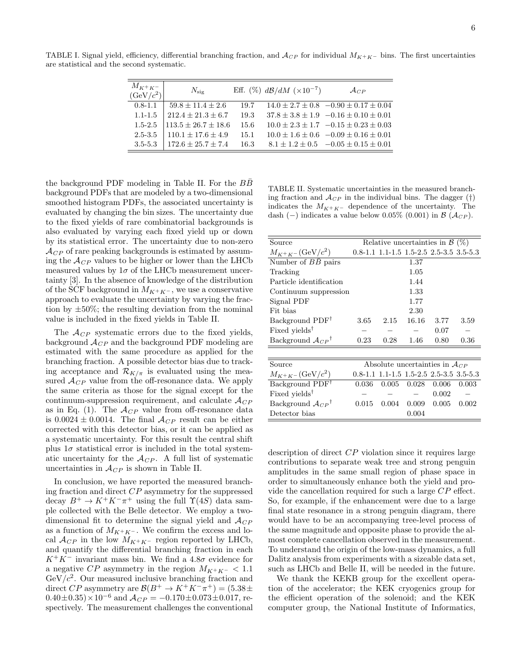$\overline{M_{K+K-}}$   $N_{\text{sig}}$  Eff. (%)  $d\mathcal{B}/dM$  (×10<sup>-7</sup>)  $\mathcal{A}_{CP}$  $(GeV/c<sup>2</sup>)$  $0.8-1.1$   $59.8 \pm 11.4 \pm 2.6$  19.7  $14.0 \pm 2.7 \pm 0.8$   $-0.90 \pm 0.17 \pm 0.04$ 1.1-1.5  $212.4 \pm 21.3 \pm 6.7$  19.3  $37.8 \pm 3.8 \pm 1.9$   $-0.16 \pm 0.10 \pm 0.01$  $1.5-2.5$   $113.5 \pm 26.7 \pm 18.6$   $15.6$   $10.0 \pm 2.3 \pm 1.7$   $-0.15 \pm 0.23 \pm 0.03$ 2.5-3.5  $110.1 \pm 17.6 \pm 4.9$  15.1  $10.0 \pm 1.6 \pm 0.6$   $-0.09 \pm 0.16 \pm 0.01$ 3.5-5.3 |  $172.6 \pm 25.7 \pm 7.4$  16.3  $8.1 \pm 1.2 \pm 0.5$   $-0.05 \pm 0.15 \pm 0.01$ 

<span id="page-6-0"></span>TABLE I. Signal yield, efficiency, differential branching fraction, and  $\mathcal{A}_{CP}$  for individual  $M_{K+K-}$  bins. The first uncertainties are statistical and the second systematic.

the background PDF modeling in Table [II.](#page-6-1) For the  $B\overline{B}$ background PDFs that are modeled by a two-dimensional smoothed histogram PDFs, the associated uncertainty is evaluated by changing the bin sizes. The uncertainty due to the fixed yields of rare combinatorial backgrounds is also evaluated by varying each fixed yield up or down by its statistical error. The uncertainty due to non-zero  $\mathcal{A}_{CP}$  of rare peaking backgrounds is estimated by assuming the  $\mathcal{A}_{CP}$  values to be higher or lower than the LHCb measured values by  $1\sigma$  of the LHCb measurement uncertainty [\[3\]](#page-7-2). In the absence of knowledge of the distribution of the SCF background in  $M_{K^+K^-}$ , we use a conservative approach to evaluate the uncertainty by varying the fraction by  $\pm 50\%$ ; the resulting deviation from the nominal value is included in the fixed yields in Table [II.](#page-6-1)

The  $A_{CP}$  systematic errors due to the fixed yields, background  $\mathcal{A}_{CP}$  and the background PDF modeling are estimated with the same procedure as applied for the branching fraction. A possible detector bias due to tracking acceptance and  $\mathcal{R}_{K/\pi}$  is evaluated using the measured  $\mathcal{A}_{CP}$  value from the off-resonance data. We apply the same criteria as those for the signal except for the continuum-suppression requirement, and calculate  $\mathcal{A}_{CP}$ as in Eq. [\(1\)](#page-3-1). The  $\mathcal{A}_{CP}$  value from off-resonance data is 0.0024  $\pm$  0.0014. The final  $\mathcal{A}_{CP}$  result can be either corrected with this detector bias, or it can be applied as a systematic uncertainty. For this result the central shift plus  $1\sigma$  statistical error is included in the total systematic uncertainty for the  $A_{CP}$ . A full list of systematic uncertainties in  $\mathcal{A}_{CP}$  is shown in Table [II.](#page-6-1)

In conclusion, we have reported the measured branching fraction and direct CP asymmetry for the suppressed decay  $B^+ \to K^+ K^- \pi^+$  using the full  $\Upsilon(4S)$  data sample collected with the Belle detector. We employ a twodimensional fit to determine the signal yield and  $\mathcal{A}_{CP}$ as a function of  $M_{K^+K^-}$ . We confirm the excess and local  $\mathcal{A}_{CP}$  in the low  $M_{K^+K^-}$  region reported by LHCb, and quantify the differential branching fraction in each  $K^+K^-$  invariant mass bin. We find a 4.8 $\sigma$  evidence for a negative  $CP$  asymmetry in the region  $M_{K^+K^-}$  < 1.1  $GeV/c^2$ . Our measured inclusive branching fraction and direct CP asymmetry are  $\mathcal{B}(B^+ \to K^+ K^- \pi^+) = (5.38 \pm 0.000)$  $0.40\pm0.35)\times10^{-6}$  and  $\mathcal{A}_{CP} = -0.170\pm0.073\pm0.017$ , respectively. The measurement challenges the conventional

<span id="page-6-1"></span>TABLE II. Systematic uncertainties in the measured branching fraction and  $\mathcal{A}_{CP}$  in the individual bins. The dagger (†) indicates the  $M_{K^+K^-}$  dependence of the uncertainty. The dash (−) indicates a value below 0.05% (0.001) in  $\mathcal{B}(\mathcal{A}_{CP})$ .

| Source                           | Relative uncertainties in $\mathcal{B}(\%)$  |       |                                           |       |       |  |  |  |
|----------------------------------|----------------------------------------------|-------|-------------------------------------------|-------|-------|--|--|--|
| $M_{K^+K^-}$ (GeV/ $c^2$ )       |                                              |       | $0.8-1.1$ 1.1-1.5 1.5-2.5 2.5-3.5 3.5-5.3 |       |       |  |  |  |
| Number of <i>BB</i> pairs        |                                              |       | 1.37                                      |       |       |  |  |  |
| Tracking                         | 1.05                                         |       |                                           |       |       |  |  |  |
| Particle identification          | 1.44                                         |       |                                           |       |       |  |  |  |
| Continuum suppression            | 1.33                                         |       |                                           |       |       |  |  |  |
| Signal PDF                       | 1.77                                         |       |                                           |       |       |  |  |  |
| Fit bias                         | 2.30                                         |       |                                           |       |       |  |  |  |
| Background PDF <sup>†</sup>      | $3.65\,$                                     | 2.15  | 16.16                                     | 3.77  | 3.59  |  |  |  |
| Fixed yields <sup>†</sup>        |                                              |       |                                           | 0.07  |       |  |  |  |
| Background $A_{CP}$ <sup>†</sup> | 0.23                                         | 0.28  | 1.46                                      | 0.80  | 0.36  |  |  |  |
|                                  |                                              |       |                                           |       |       |  |  |  |
| Source                           | Absolute uncertainties in $\mathcal{A}_{CP}$ |       |                                           |       |       |  |  |  |
| $M_{K^+K^-}$ (GeV/ $c^2$ )       |                                              |       | $0.8-1.1$ 1.1-1.5 1.5-2.5 2.5-3.5 3.5-5.3 |       |       |  |  |  |
| Background PDF <sup>†</sup>      | 0.036                                        | 0.005 | 0.028                                     | 0.006 | 0.003 |  |  |  |
| Fixed yields <sup>†</sup>        |                                              |       |                                           | 0.002 |       |  |  |  |
| Background $A_{CP}^{\dagger}$    | 0.015                                        | 0.004 | 0.009                                     | 0.005 | 0.002 |  |  |  |
| Detector bias                    | 0.004                                        |       |                                           |       |       |  |  |  |
|                                  |                                              |       |                                           |       |       |  |  |  |

description of direct CP violation since it requires large contributions to separate weak tree and strong penguin amplitudes in the same small region of phase space in order to simultaneously enhance both the yield and provide the cancellation required for such a large CP effect. So, for example, if the enhancement were due to a large final state resonance in a strong penguin diagram, there would have to be an accompanying tree-level process of the same magnitude and opposite phase to provide the almost complete cancellation observed in the measurement. To understand the origin of the low-mass dynamics, a full Dalitz analysis from experiments with a sizeable data set, such as LHCb and Belle II, will be needed in the future.

We thank the KEKB group for the excellent operation of the accelerator; the KEK cryogenics group for the efficient operation of the solenoid; and the KEK computer group, the National Institute of Informatics,